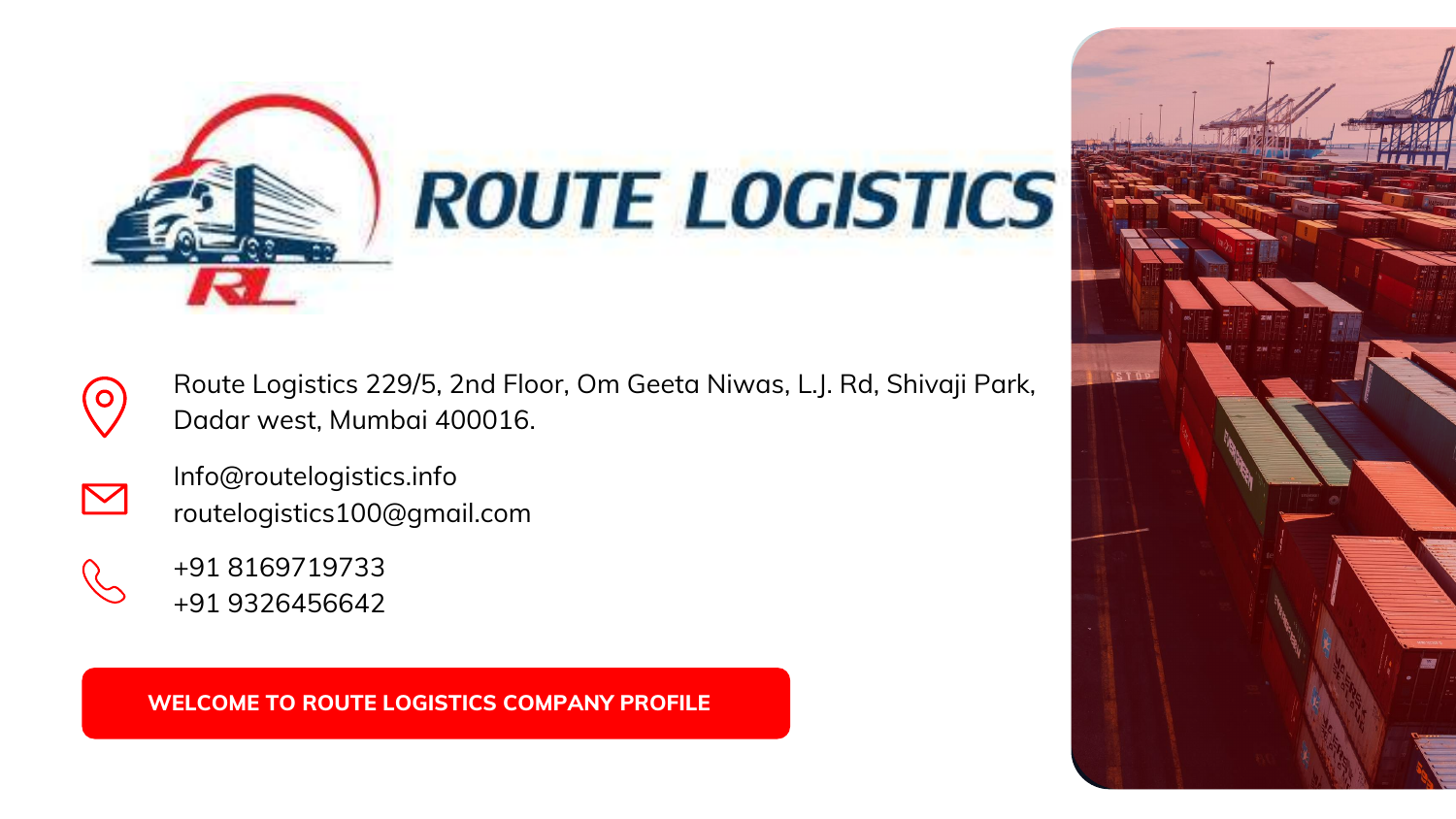

Info@routelogistics.info routelogistics100@gmail.com



+91 8169719733 +91 9326456642

<span id="page-0-0"></span>



Route Logistics 229/5, 2nd Floor, Om Geeta Niwas, L.J. Rd, Shivaji Park, Dadar west, Mumbai 400016.

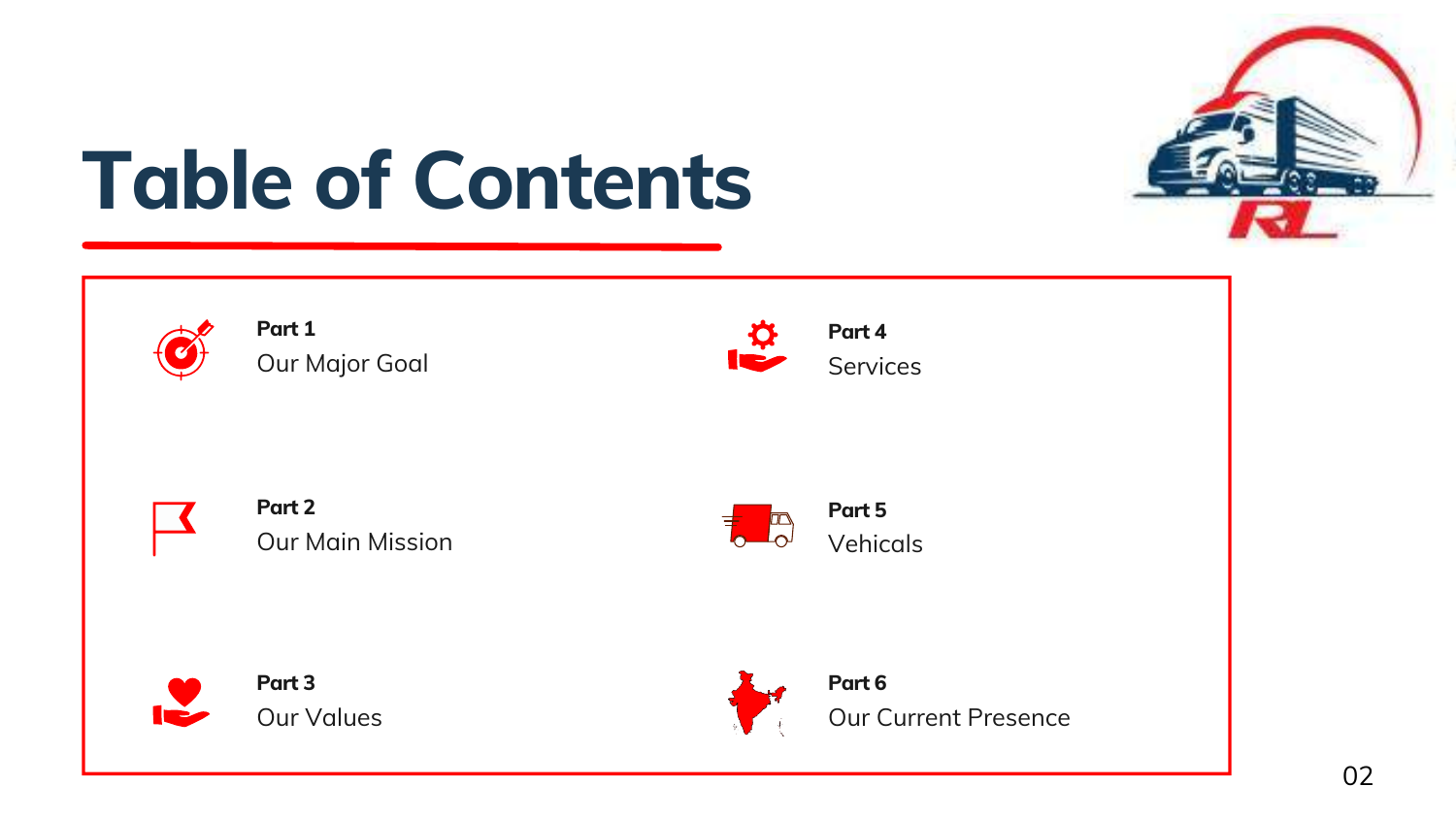**[Part](#page-2-0) 1** Our [Major](#page-2-0) Goal



**[Part](#page-5-0) 4 [Services](#page-5-0)** 



**[Part](#page-3-0) 2** Our Main [Mission](#page-3-0)



**Part 3** Our [Values](#page-4-0)



**Part 5** [Vehicals](#page-6-0)



**Part 6**



Our Current [Presence](#page-10-0)

# **Table of Contents**

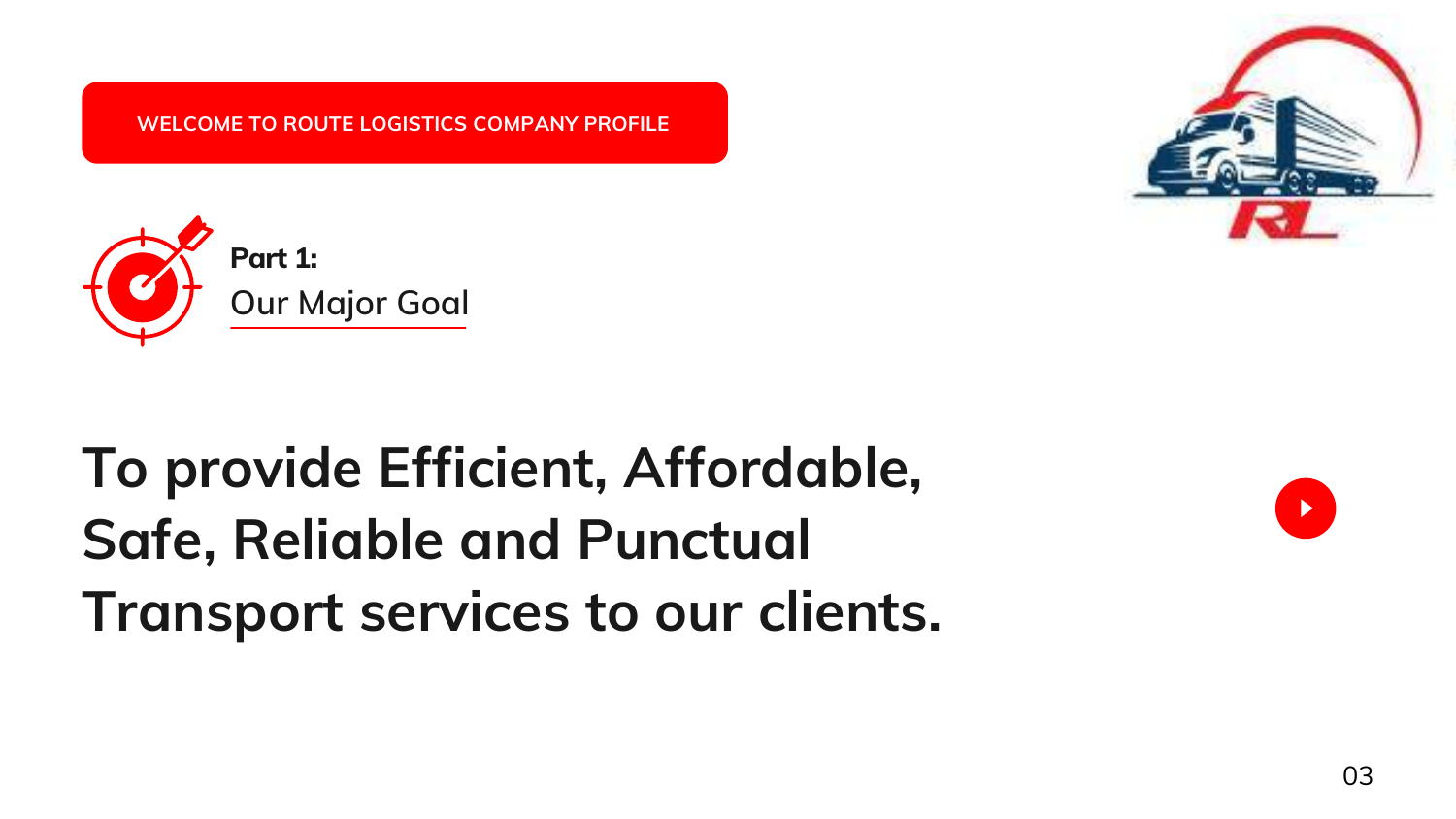## **To provide Efficient, Affordable, Safe, Reliable and Punctual Transport services to our clients.**



 $\blacktriangleright$ 

<span id="page-2-0"></span>**WELCOME TO ROUTE LOGISTICS COMPANY PROFILE**

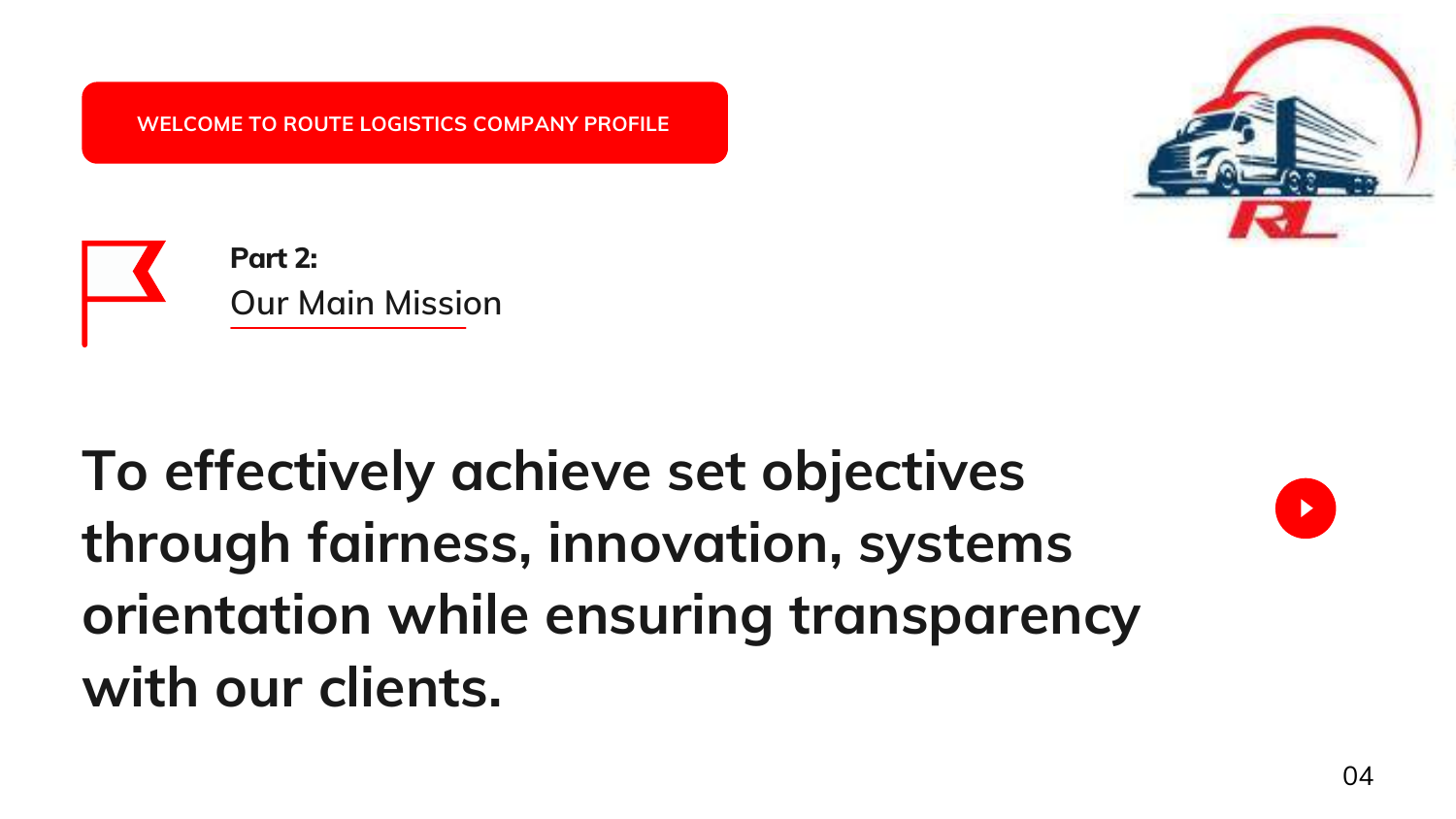## **To effectively achieve set objectives through fairness, innovation, systems orientation while ensuring transparency with our clients.**





<span id="page-3-0"></span>**WELCOME TO ROUTE LOGISTICS COMPANY PROFILE**

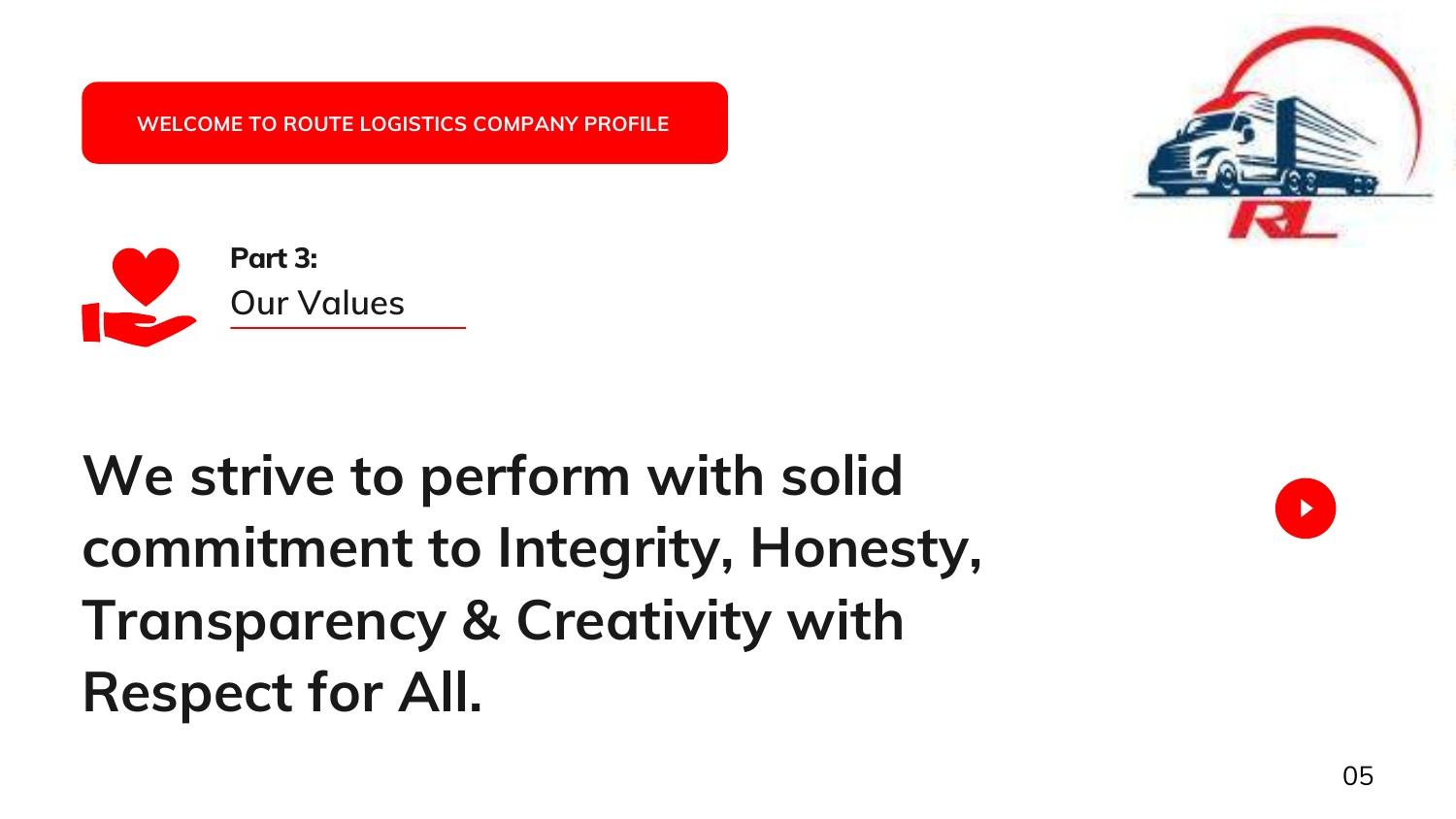## **We strive to perform with solid commitment to Integrity, Honesty, Transparency & Creativity with Respect for All.**







<span id="page-4-0"></span>**WELCOME TO ROUTE LOGISTICS COMPANY PROFILE**

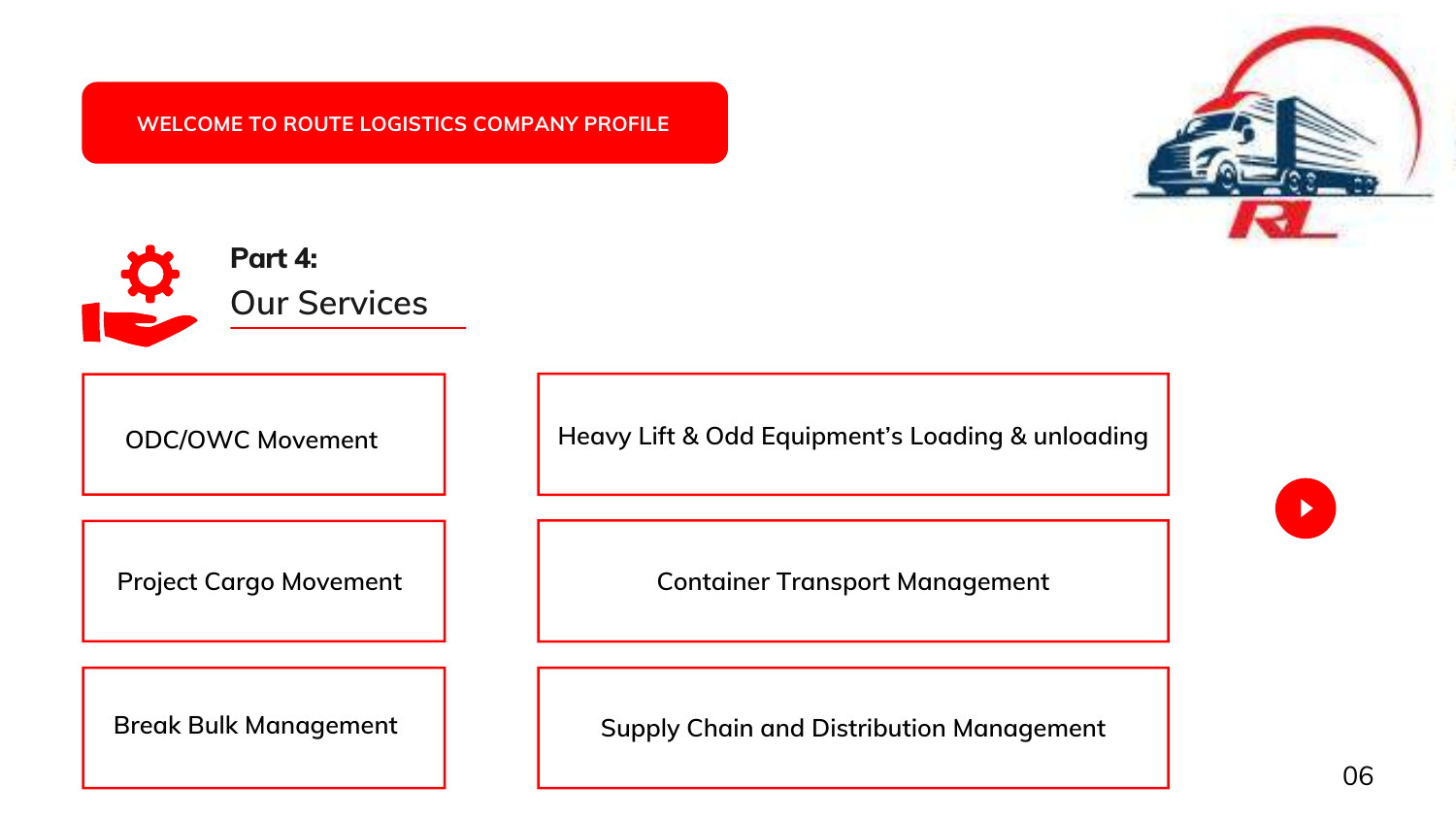06

<span id="page-5-0"></span>

**ODC/OWC Movement**

**Project Cargo Movement**

**Container Transport Management**

**Break Bulk Management** | **Supply Chain and Distribution Management** 





**Heavy Lift & Odd Equipment's Loading & unloading**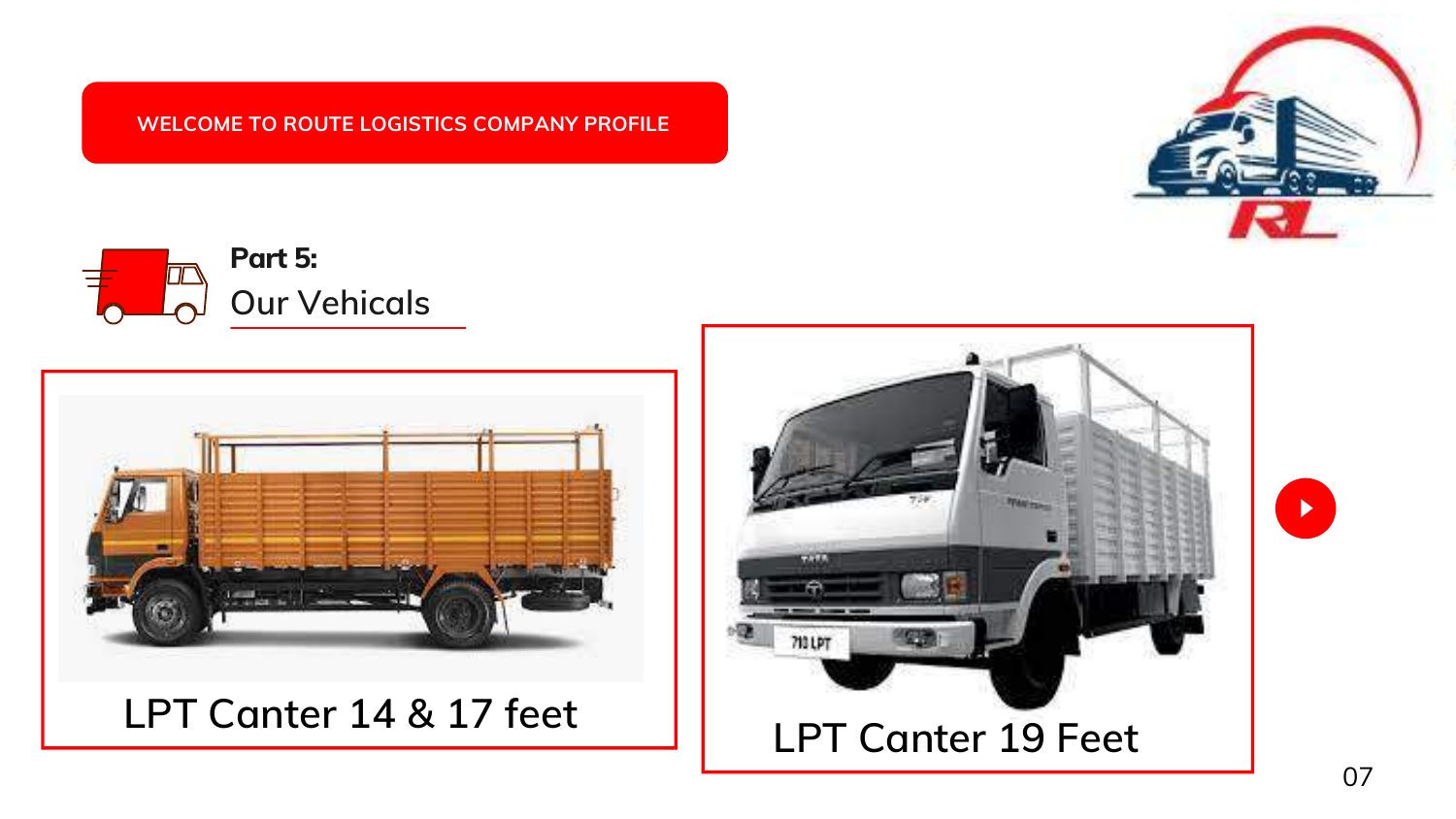<span id="page-6-0"></span>



### **LPT Canter 19 Feet**



 $\blacktriangleright$ 

**LPT Canter 14 & 17 feet**

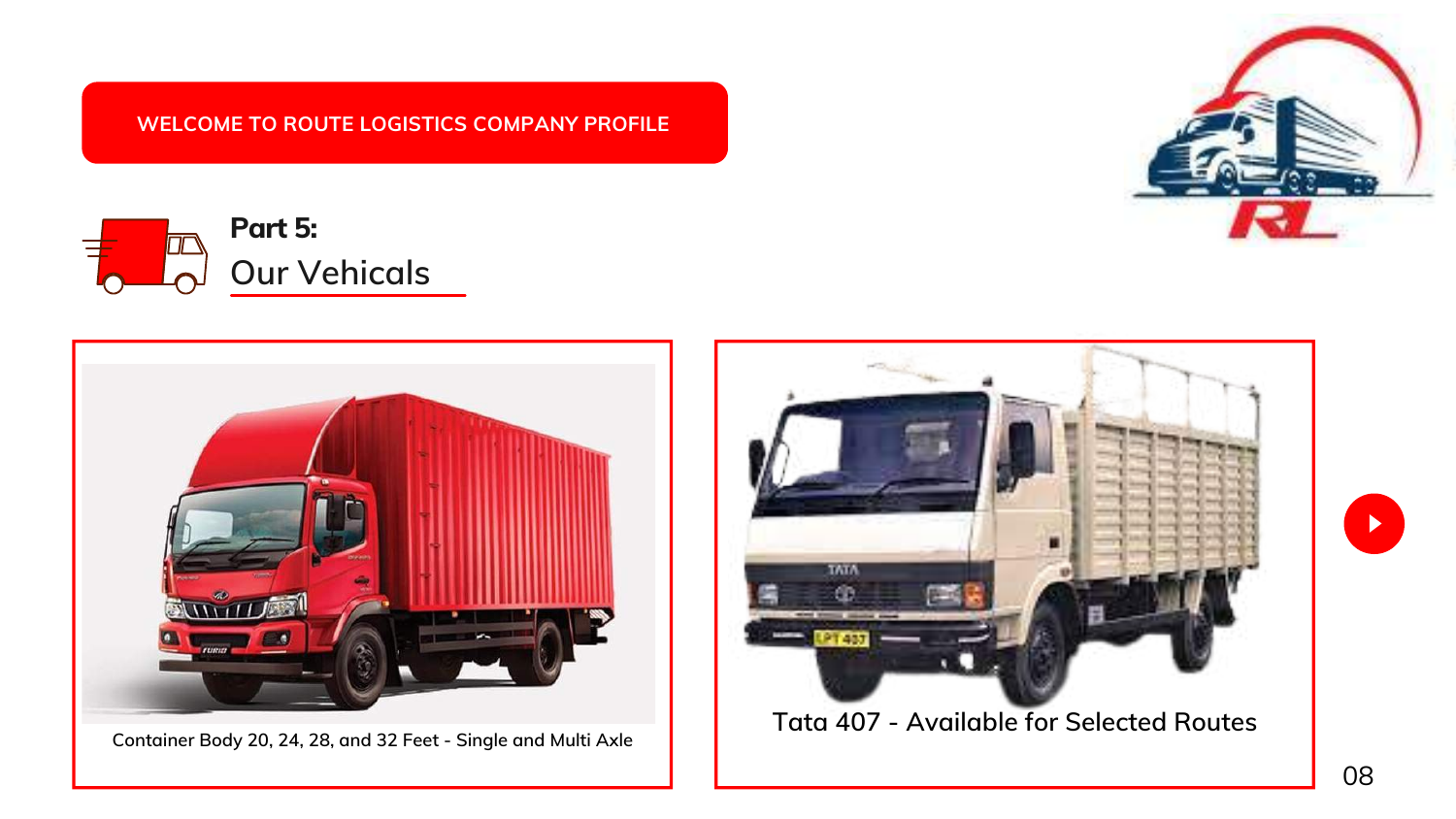**Container Body 20, 24, 28, and 32 Feet - Single and Multi Axle**

**WELCOME TO ROUTE LOGISTICS COMPANY PROFILE**







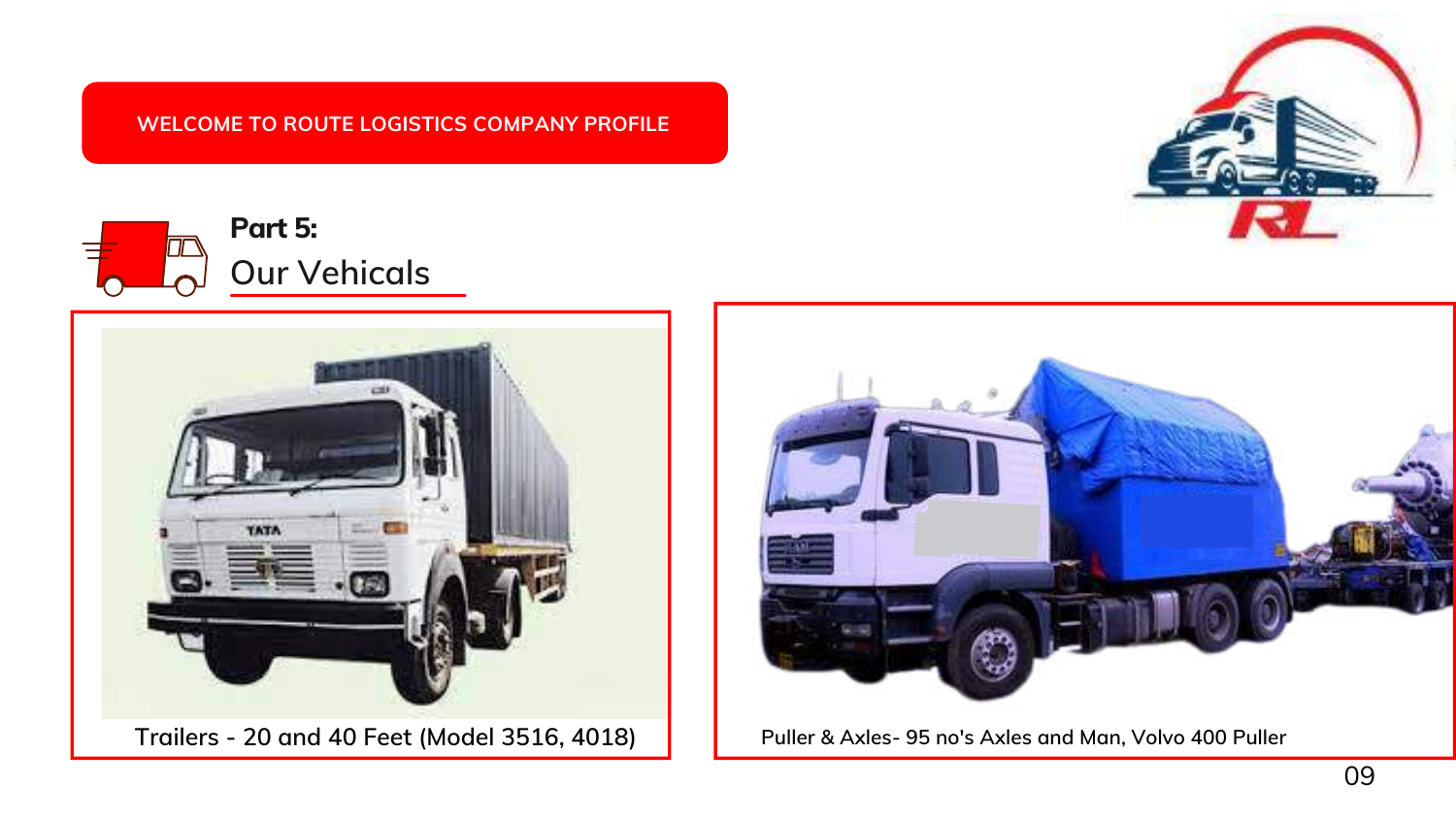





**Puller & Axles- 95 no's Axles and Man, Volvo 400 Puller**

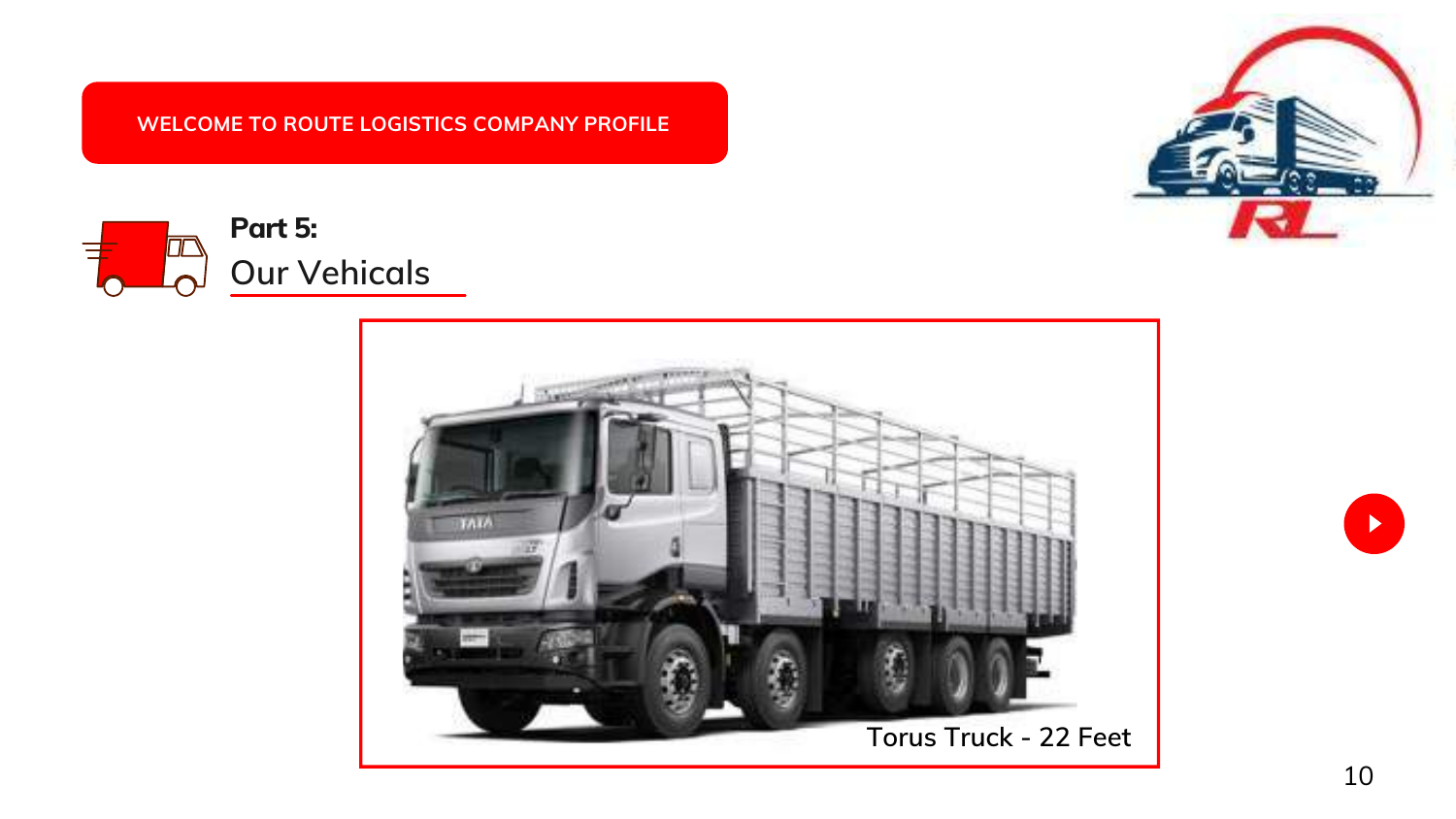





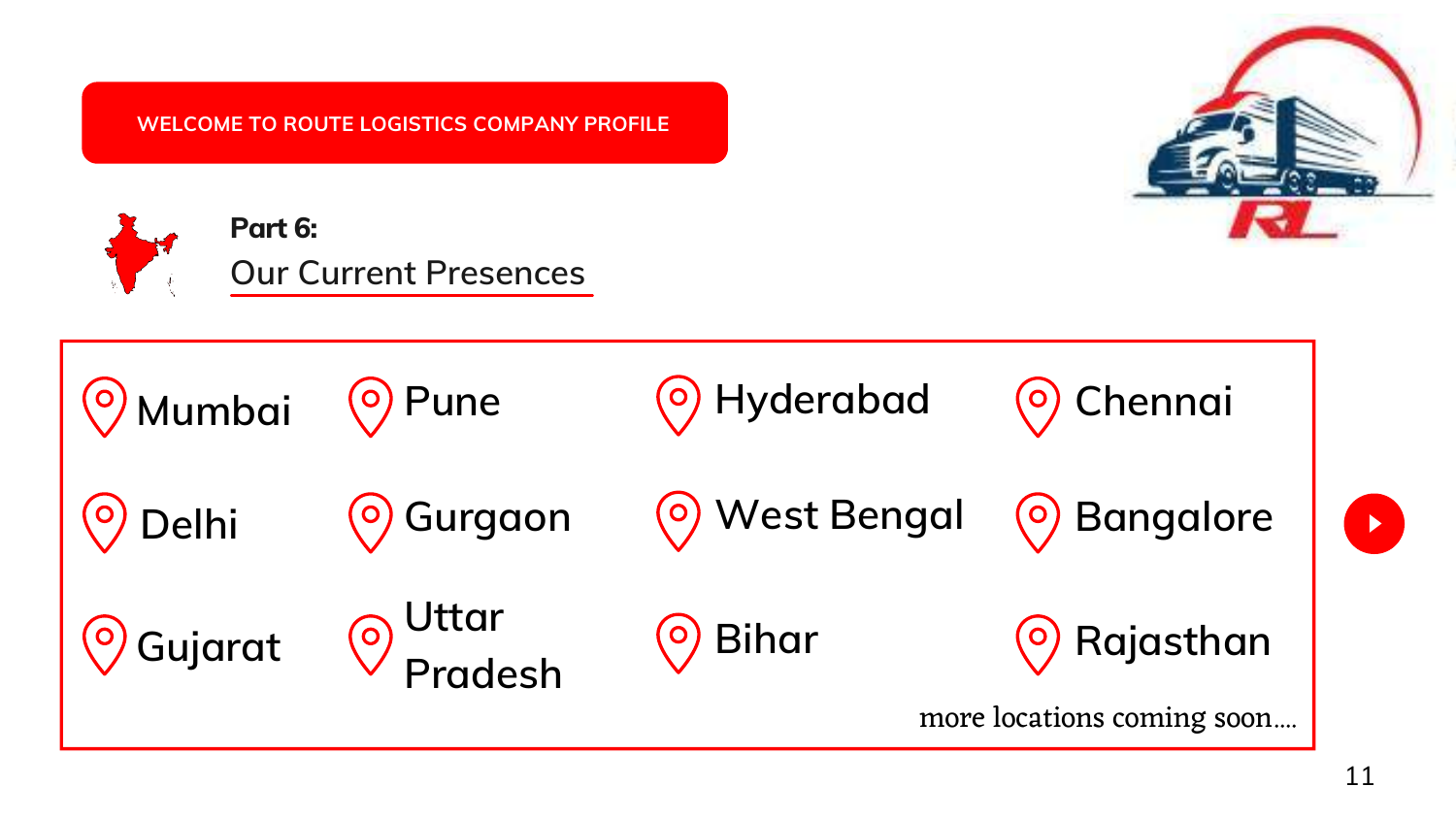<span id="page-10-0"></span>





more locations coming soon....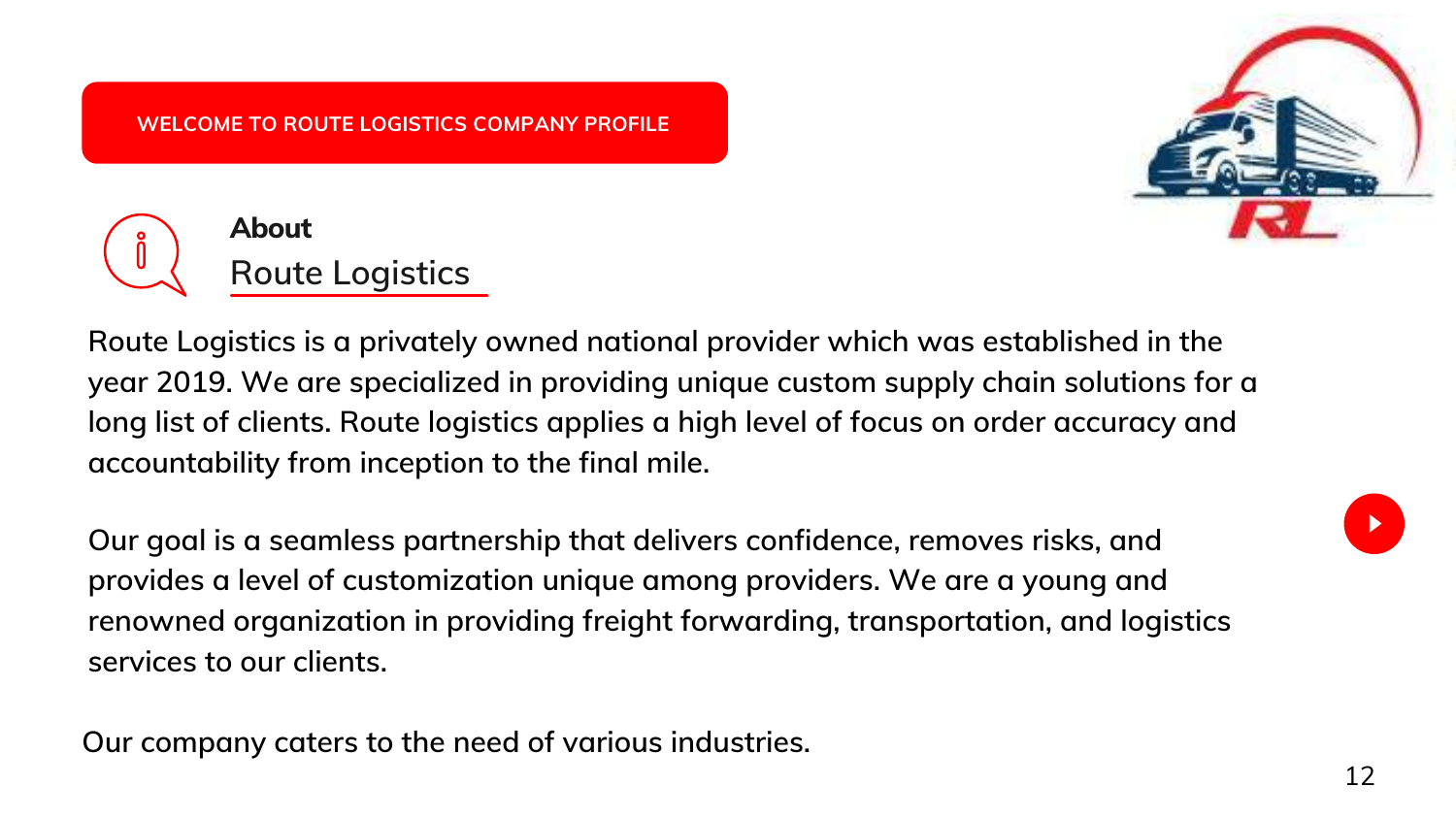

**Route Logistics is a privately owned national provider which was established in the year 2019. We are specialized in providing unique custom supply chain solutions for a long list of clients. Route logistics applies a high level of focus on order accuracy and accountability from inception to the final mile.**

**Our goal is a seamless partnership that delivers confidence, removes risks, and provides a level of customization unique among providers. We are a young and renowned organization in providing freight forwarding, transportation, and logistics services to our clients.**

**Our company caters to the need of various industries.**



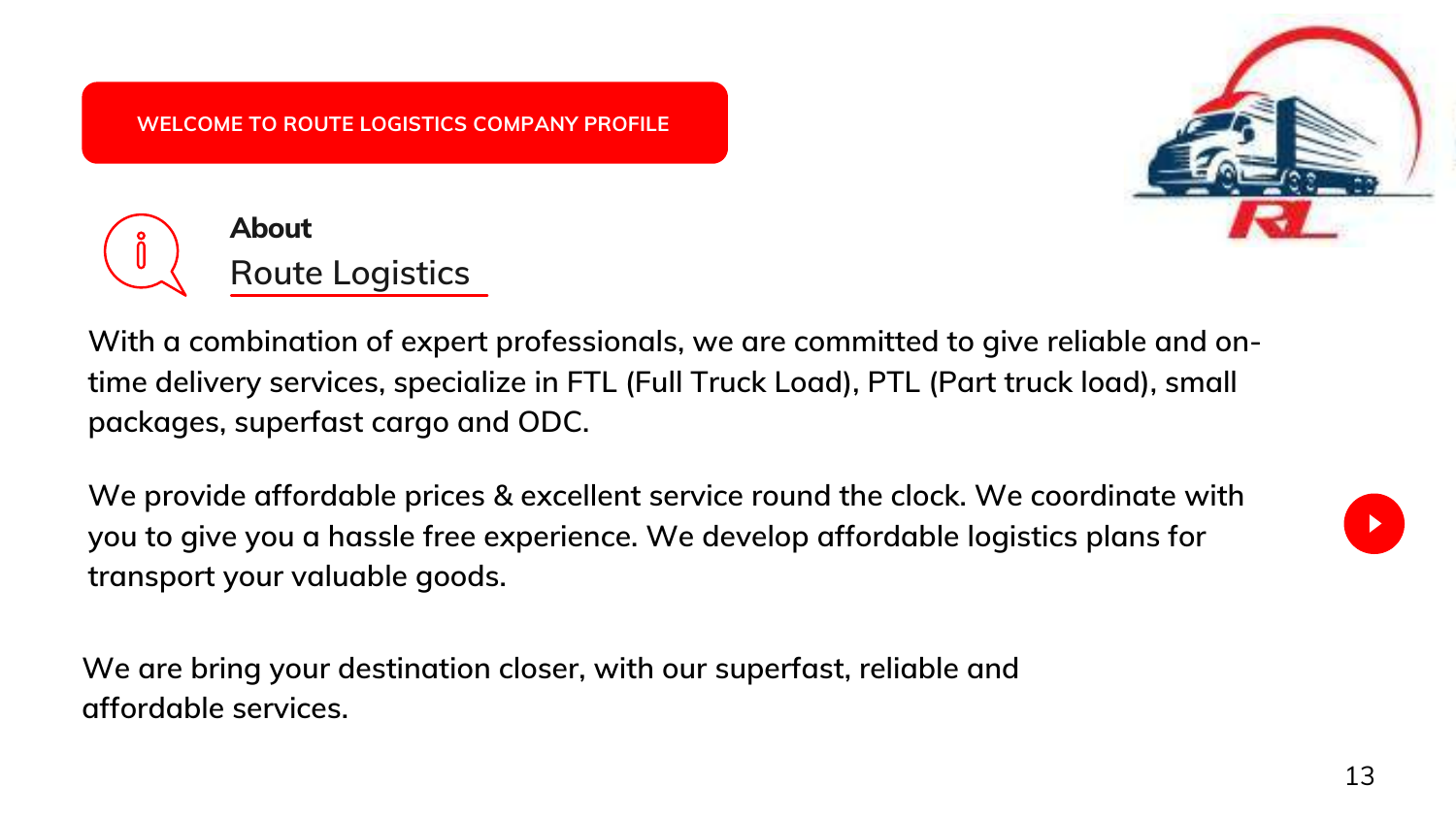

**With a combination of expert professionals, we are committed to give reliable and ontime delivery services, specialize in FTL (Full Truck Load), PTL (Part truck load), small packages, superfast cargo and ODC.**

**We provide affordable prices & excellent service round the clock. We coordinate with you to give you a hassle free experience. We develop affordable logistics plans for transport your valuable goods.**

**We are bring your destination closer, with our superfast, reliable and affordable services.**